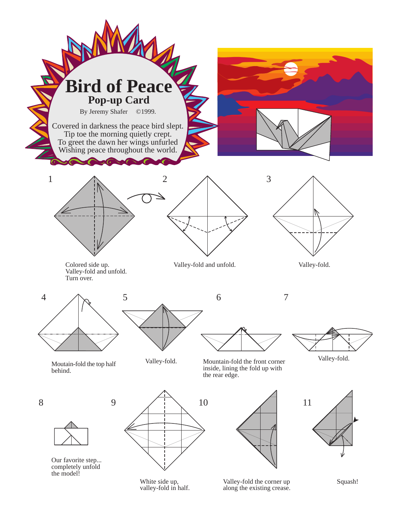